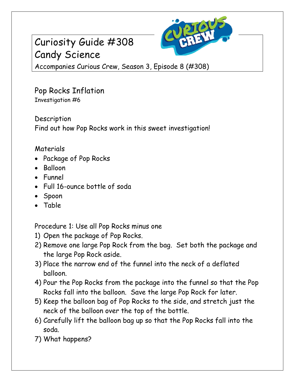## Curiosity Guide #308 Candy Science



Accompanies Curious Crew, Season 3, Episode 8 (#308)

Pop Rocks Inflation Investigation #6

Description Find out how Pop Rocks work in this sweet investigation!

## Materials

- Package of Pop Rocks
- Balloon
- Funnel
- Full 16-ounce bottle of soda
- Spoon
- Table

Procedure 1: Use all Pop Rocks minus one

- 1) Open the package of Pop Rocks.
- 2) Remove one large Pop Rock from the bag. Set both the package and the large Pop Rock aside.
- 3) Place the narrow end of the funnel into the neck of a deflated balloon.
- 4) Pour the Pop Rocks from the package into the funnel so that the Pop Rocks fall into the balloon. Save the large Pop Rock for later.
- 5) Keep the balloon bag of Pop Rocks to the side, and stretch just the neck of the balloon over the top of the bottle.
- 6) Carefully lift the balloon bag up so that the Pop Rocks fall into the soda.
- 7) What happens?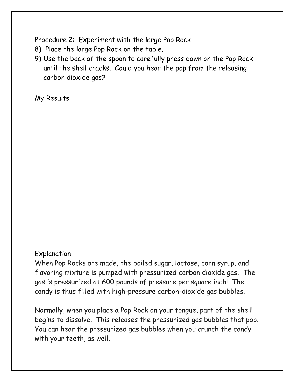Procedure 2: Experiment with the large Pop Rock

- 8) Place the large Pop Rock on the table.
- 9) Use the back of the spoon to carefully press down on the Pop Rock until the shell cracks. Could you hear the pop from the releasing carbon dioxide gas?

My Results

## Explanation

When Pop Rocks are made, the boiled sugar, lactose, corn syrup, and flavoring mixture is pumped with pressurized carbon dioxide gas. The gas is pressurized at 600 pounds of pressure per square inch! The candy is thus filled with high-pressure carbon-dioxide gas bubbles.

Normally, when you place a Pop Rock on your tongue, part of the shell begins to dissolve. This releases the pressurized gas bubbles that pop. You can hear the pressurized gas bubbles when you crunch the candy with your teeth, as well.